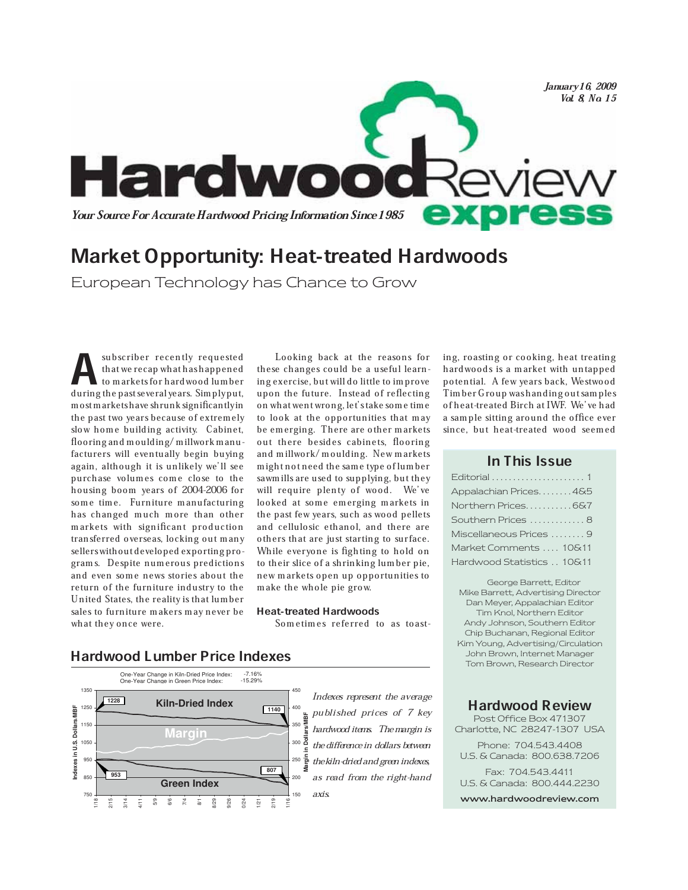

# Market Opportunity: Heat-treated Hardwoods

European Technology has Chance to Grow

Asubscriber recently requested<br>that we recap what has happened<br>to markets for hard wood lumber that we recap what hashappened to m arketsfor hardwood lum ber during the pastseveral years. Sim plyput, mostmarketshave shrunk significantlyin the past two years because of extrem ely slow home building activity. Cabinet, flooring and m oulding/ m illwork m anufacturers will even tually begin buying again, although it is unlikely we' ll see purchase volumes come close to the housing boom years of 2004-2006 for some time. Furniture manufacturing has changed much more than other m arkets with significant production tran sferred o verseas, locking out m an y sellerswithout developed exporting pro grams. Despite numerous predictions and even some news stories about the return of the furniture industry to the United States, the reality is that lum ber sales to furniture m akers m ay never be what they once were.

Looking back at the reasons for these changes could be a useful learn ing exercise, but will do little to improve upon the future. In stead of reflecting on whatwen twrong, let'stake som e tim e to look at the opportunities that m ay be em erging. There are o ther m arkets out there besides cabinets, flooring and millwork/moulding. New markets might not need the same type of lumber sawm ills are used to supplying, but they will require plenty of wood. We've looked at some emerging markets in the past few years, such as wood pellets and cellulo sic ethanol, and there are o thers that are just starting to surface. While everyone is figh ting to hold on to their slice of a shrinking lum ber pie, new m arkets open up opportunities to m ake the whole pie grow.

#### Heat-treated Hardwoods

Som e times referred to as to ast-





ing, roasting or cooking, heat treating hardwoods is a market with untapped po ten tial. A few years back, Westwood Tim ber Group washanding outsam ples of heat-treated Birch at IWF. We' ve had a sam ple sitting around the office ever since, but heat-treated wood seem ed

### In This Issue

| Appalachian Prices4&5      |
|----------------------------|
| Northern Prices6&7         |
| Southern Prices  8         |
| Miscellaneous Prices  9    |
| Market Comments  10&11     |
| Hardwood Statistics  10&11 |

George Barrett, Editor Mike Barrett, Advertising Director Dan Meyer, Appalachian Editor Tim Knol, Northern Editor Andy Johnson, Southern Editor Chip Buchanan, Regional Editor Kim Young, Advertising/Circulation John Brown, Internet Manager Tom Brown, Research Director

## Hardwood Review

Post Office Box 471307 Charlotte, NC 28247-1307 USA

Phone: 704.543.4408 U.S. & Canada: 800.638.7206

Fax: 704.543.4411 U.S. & Canada: 800.444.2230

www.hardwoodreview.com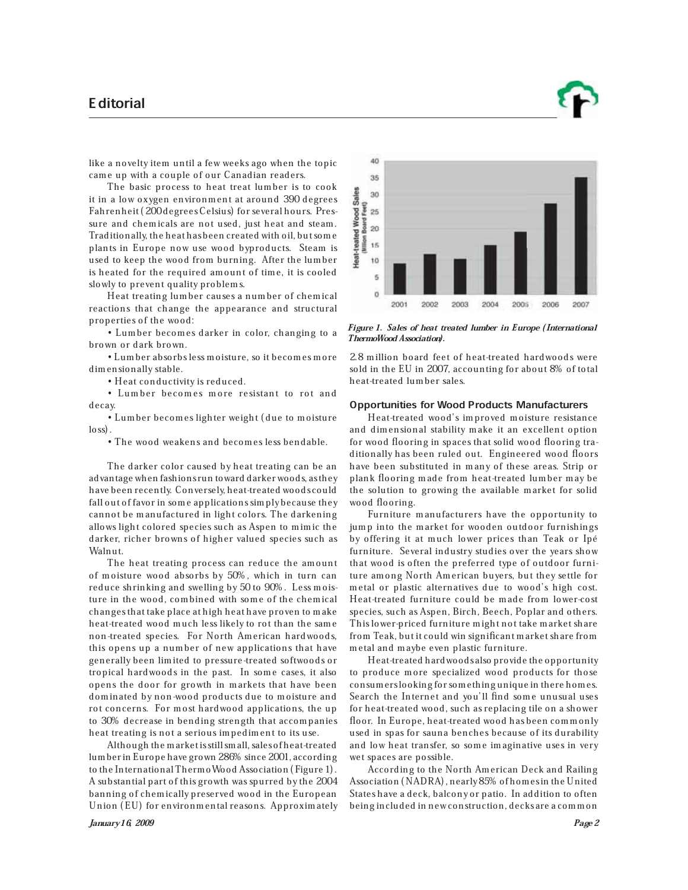## E ditorial

like a no velty item un til a few weeks ago when the topic came up with a couple of our Canadian readers.

The basic process to heat treat lum ber is to cook it in a low oxygen environment at around 390 degrees Fahrenheit (200 degrees Celsius) for several hours. Pressure and chemicals are not used, just heat and steam. Traditionally, the heat has been created with oil, butsom e plan ts in Europe now use wood byproducts. Steam is used to keep the wood from burning. After the lum ber is heated for the required amount of time, it is cooled slowly to prevent quality problems.

Heat treating lum ber causes a num ber of chem ical reactions that change the appearance and structural properties of the wood:

• Lum ber becom es d arker in color, changing to a brown or d ark brown.

• Lum ber absorbs less m oisture, so it becom es m ore dim en sionally stable.

• Heat conductivity is reduced.

• Lumber becomes more resistant to rot and d ecay.

• Lum ber becom es ligh ter weigh t ( due to m oisture  $\log s$ 

• The wood weakens and becomes less bendable.

The darker color caused by heat treating can be an ad vantage when fashionsrun toward darker wood s, asthey have been recen tly. Con versely, heat-treated wood scould fall out of favor in some applications simply because they cannot be manufactured in light colors. The darkening allows light colored species such as Aspen to mimic the darker, richer browns of higher valued species such as Walnut.

The heat treating process can reduce the amount of m oisture wood absorbs by 50% , which in turn can reduce shrinking and swelling by 50 to 90% . Less m oisture in the wood, com bined with som e of the chem ical changesthat take place at high heat have pro ven to m ake heat-treated wood much less likely to rot than the same non-treated species. For North American hardwoods, this opens up a number of new applications that have generally been limited to pressure-treated softwoods or tropical hardwoods in the past. In some cases, it also opens the door for growth in markets that have been dominated by non-wood products due to moisture and rot concerns. For most hardwood applications, the up to 30% decrease in bending strength that accompanies heat treating is not a serious impediment to its use.

Although the m arketisstillsm all, salesof heat-treated lum berin Europe have grown 286% since 2001, according to the International Therm oWood Association ( Figure 1). A substan tial part of this growth was spurred by the 2004 banning of chem ically preserved wood in the European Union (EU) for environmental reasons. Approximately



Figure 1. Sales <sup>o</sup><sup>f</sup> heat treated lumber in Europe ( International ThermoWood Association).

2.8 million board feet of heat-treated hardwoods were sold in the EU in 2007, accoun ting for about 8% of to tal heat-treated lum ber sales.

#### Opportunities for Wood Products Manufacturers

Heat-treated wood's im pro ved m oisture resistance and dimensional stability make it an excellent option for wood flooring in spaces that solid wood flooring traditionally has been ruled out. Engineered wood floors have been substituted in m an y of these areas. Strip or plank flooring made from heat-treated lumber may be the solution to growing the available m arket for solid wood flooring.

Furniture m anufacturers have the opportunity to jump into the market for wooden outdoor furnishings by offering it at m uch lower prices than Teak or Ipé furniture. Several industry studies over the years show that wood is often the preferred type of outdoor furniture am ong North Am erican buyers, but they settle for metal or plastic alternatives due to wood's high cost. Heat-treated furniture could be made from lower-cost species, such as Aspen, Birch, Beech, Poplar and o thers. This lower-priced furniture might not take market share from Teak, but itcould win significan t m arket share from m etal and m aybe even plastic furniture.

Heat-treated hardwood s also pro vide the opportunity to produce m ore specialized wood products for tho se con sum erslooking forsom ething unique in there hom es. Search the Internet and you'll find some unusual uses for heat-treated wood, such as replacing tile on a shower floor. In Europe, heat-treated wood has been commonly used in spas for sauna benches because of its durability and low heat tran sfer, so som e im aginative uses in very wet spaces are po ssible.

Accord ing to the North Am erican Deck and Railing Association ( NADRA), nearly85% of hom esin the United States have a deck, balcony or patio. In addition to often being includ ed in newcon struction, d ecks are a com m on